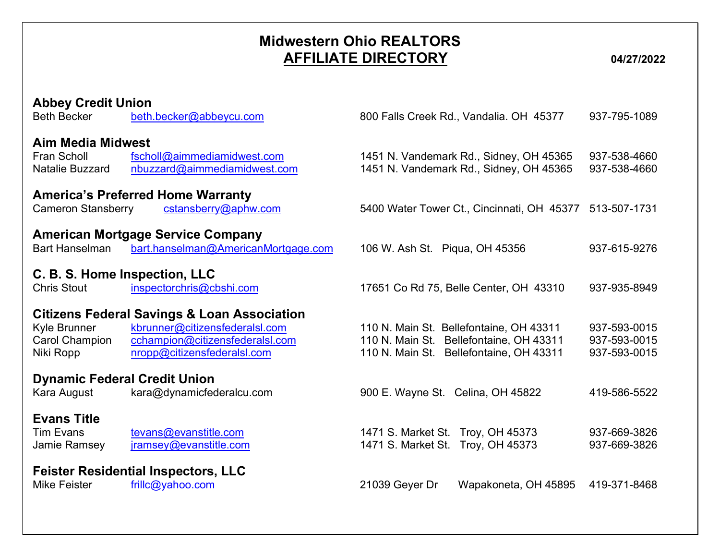## Midwestern Ohio REALTORS AFFILIATE DIRECTORY 04/27/2022

| <b>Abbey Credit Union</b><br><b>Beth Becker</b>                   | beth.becker@abbeycu.com                                                                                                                                    | 800 Falls Creek Rd., Vandalia. OH 45377                                                                                       | 937-795-1089                                 |
|-------------------------------------------------------------------|------------------------------------------------------------------------------------------------------------------------------------------------------------|-------------------------------------------------------------------------------------------------------------------------------|----------------------------------------------|
| <b>Aim Media Midwest</b><br>Fran Scholl<br><b>Natalie Buzzard</b> | fscholl@aimmediamidwest.com<br>nbuzzard@aimmediamidwest.com                                                                                                | 1451 N. Vandemark Rd., Sidney, OH 45365<br>1451 N. Vandemark Rd., Sidney, OH 45365                                            | 937-538-4660<br>937-538-4660                 |
| <b>Cameron Stansberry</b>                                         | <b>America's Preferred Home Warranty</b><br>cstansberry@aphw.com                                                                                           | 5400 Water Tower Ct., Cincinnati, OH 45377                                                                                    | 513-507-1731                                 |
| <b>Bart Hanselman</b>                                             | <b>American Mortgage Service Company</b><br>bart.hanselman@AmericanMortgage.com                                                                            | 106 W. Ash St. Piqua, OH 45356                                                                                                | 937-615-9276                                 |
| C. B. S. Home Inspection, LLC<br><b>Chris Stout</b>               | inspectorchris@cbshi.com                                                                                                                                   | 17651 Co Rd 75, Belle Center, OH 43310                                                                                        | 937-935-8949                                 |
| Kyle Brunner<br><b>Carol Champion</b><br>Niki Ropp                | <b>Citizens Federal Savings &amp; Loan Association</b><br>kbrunner@citizensfederalsl.com<br>cchampion@citizensfederalsl.com<br>nropp@citizensfederalsl.com | 110 N. Main St. Bellefontaine, OH 43311<br>110 N. Main St. Bellefontaine, OH 43311<br>110 N. Main St. Bellefontaine, OH 43311 | 937-593-0015<br>937-593-0015<br>937-593-0015 |
| <b>Dynamic Federal Credit Union</b><br>Kara August                | kara@dynamicfederalcu.com                                                                                                                                  | 900 E. Wayne St. Celina, OH 45822                                                                                             | 419-586-5522                                 |
| <b>Evans Title</b><br><b>Tim Evans</b><br>Jamie Ramsey            | tevans@evanstitle.com<br>jramsey@evanstitle.com                                                                                                            | 1471 S. Market St. Troy, OH 45373<br>1471 S. Market St. Troy, OH 45373                                                        | 937-669-3826<br>937-669-3826                 |
| <b>Mike Feister</b>                                               | <b>Feister Residential Inspectors, LLC</b><br>frillc@yahoo.com                                                                                             | 21039 Geyer Dr<br>Wapakoneta, OH 45895                                                                                        | 419-371-8468                                 |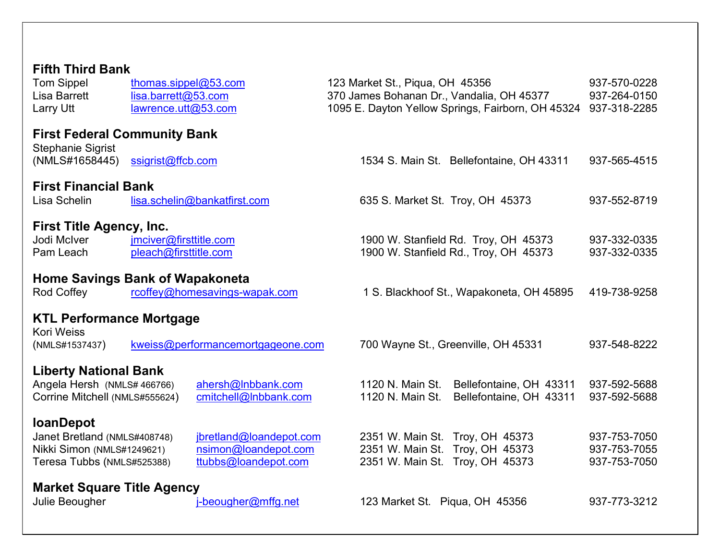| <b>Fifth Third Bank</b><br><b>Tom Sippel</b><br><b>Lisa Barrett</b><br><b>Larry Utt</b>  | thomas.sippel@53.com<br>lisa.barrett@53.com<br>lawrence.utt@53.com |                                                                         |  | 123 Market St., Piqua, OH 45356      | 370 James Bohanan Dr., Vandalia, OH 45377<br>1095 E. Dayton Yellow Springs, Fairborn, OH 45324        | 937-570-0228<br>937-264-0150<br>937-318-2285 |
|------------------------------------------------------------------------------------------|--------------------------------------------------------------------|-------------------------------------------------------------------------|--|--------------------------------------|-------------------------------------------------------------------------------------------------------|----------------------------------------------|
| <b>First Federal Community Bank</b>                                                      |                                                                    |                                                                         |  |                                      |                                                                                                       |                                              |
| <b>Stephanie Sigrist</b><br>(NMLS#1658445)                                               | ssigrist@ffcb.com                                                  |                                                                         |  |                                      | 1534 S. Main St. Bellefontaine, OH 43311                                                              | 937-565-4515                                 |
| <b>First Financial Bank</b><br>Lisa Schelin                                              |                                                                    | lisa.schelin@bankatfirst.com                                            |  | 635 S. Market St. Troy, OH 45373     |                                                                                                       | 937-552-8719                                 |
| <b>First Title Agency, Inc.</b>                                                          |                                                                    |                                                                         |  |                                      |                                                                                                       |                                              |
| Jodi McIver<br>Pam Leach                                                                 | jmciver@firsttitle.com<br>pleach@firsttitle.com                    |                                                                         |  |                                      | 1900 W. Stanfield Rd. Troy, OH 45373<br>1900 W. Stanfield Rd., Troy, OH 45373                         | 937-332-0335<br>937-332-0335                 |
| <b>Home Savings Bank of Wapakoneta</b><br>Rod Coffey                                     |                                                                    | rcoffey@homesavings-wapak.com                                           |  |                                      | 1 S. Blackhoof St., Wapakoneta, OH 45895                                                              | 419-738-9258                                 |
| <b>KTL Performance Mortgage</b>                                                          |                                                                    |                                                                         |  |                                      |                                                                                                       |                                              |
| <b>Kori Weiss</b><br>(NMLS#1537437)                                                      |                                                                    | kweiss@performancemortgageone.com                                       |  |                                      | 700 Wayne St., Greenville, OH 45331                                                                   | 937-548-8222                                 |
| <b>Liberty National Bank</b>                                                             |                                                                    |                                                                         |  |                                      |                                                                                                       |                                              |
| Angela Hersh (NMLS# 466766)<br>Corrine Mitchell (NMLS#555624)                            |                                                                    | ahersh@Inbbank.com<br>cmitchell@Inbbank.com                             |  | 1120 N. Main St.<br>1120 N. Main St. | Bellefontaine, OH 43311<br>Bellefontaine, OH 43311                                                    | 937-592-5688<br>937-592-5688                 |
| <b>loanDepot</b>                                                                         |                                                                    |                                                                         |  |                                      |                                                                                                       |                                              |
| Janet Bretland (NMLS#408748)<br>Nikki Simon (NMLS#1249621)<br>Teresa Tubbs (NMLS#525388) |                                                                    | jbretland@loandepot.com<br>nsimon@loandepot.com<br>ttubbs@loandepot.com |  |                                      | 2351 W. Main St. Troy, OH 45373<br>2351 W. Main St. Troy, OH 45373<br>2351 W. Main St. Troy, OH 45373 | 937-753-7050<br>937-753-7055<br>937-753-7050 |
| <b>Market Square Title Agency</b>                                                        |                                                                    |                                                                         |  |                                      |                                                                                                       |                                              |
| Julie Beougher                                                                           |                                                                    | j-beougher@mffg.net                                                     |  | 123 Market St. Piqua, OH 45356       |                                                                                                       | 937-773-3212                                 |
|                                                                                          |                                                                    |                                                                         |  |                                      |                                                                                                       |                                              |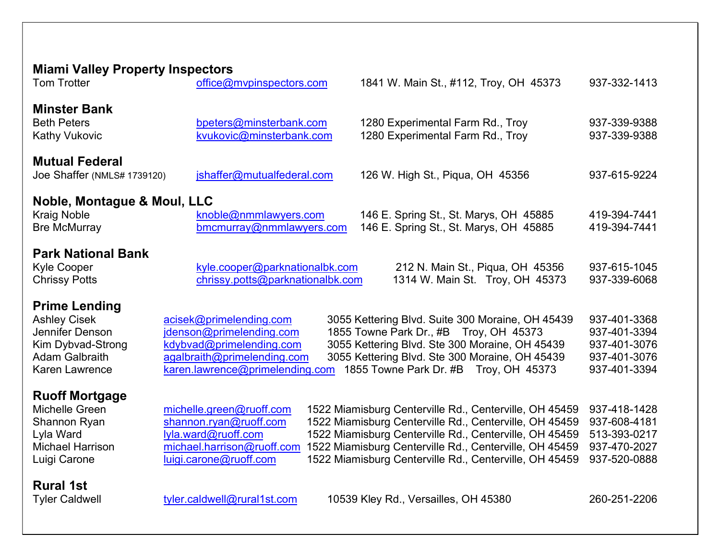| <b>Miami Valley Property Inspectors</b>                                                                                               |                                                                                                                                                   |                                                                                                                                                                                                                                                                                                |                                                                              |  |  |
|---------------------------------------------------------------------------------------------------------------------------------------|---------------------------------------------------------------------------------------------------------------------------------------------------|------------------------------------------------------------------------------------------------------------------------------------------------------------------------------------------------------------------------------------------------------------------------------------------------|------------------------------------------------------------------------------|--|--|
| <b>Tom Trotter</b>                                                                                                                    | office@mvpinspectors.com                                                                                                                          | 1841 W. Main St., #112, Troy, OH 45373                                                                                                                                                                                                                                                         | 937-332-1413                                                                 |  |  |
| <b>Minster Bank</b><br><b>Beth Peters</b><br><b>Kathy Vukovic</b>                                                                     | bpeters@minsterbank.com<br>kvukovic@minsterbank.com                                                                                               | 1280 Experimental Farm Rd., Troy<br>1280 Experimental Farm Rd., Troy                                                                                                                                                                                                                           | 937-339-9388<br>937-339-9388                                                 |  |  |
| <b>Mutual Federal</b><br>Joe Shaffer (NMLS# 1739120)                                                                                  | jshaffer@mutualfederal.com                                                                                                                        | 126 W. High St., Piqua, OH 45356                                                                                                                                                                                                                                                               | 937-615-9224                                                                 |  |  |
| Noble, Montague & Moul, LLC<br><b>Kraig Noble</b><br><b>Bre McMurray</b>                                                              | knoble@nmmlawyers.com<br>bmcmurray@nmmlawyers.com                                                                                                 | 146 E. Spring St., St. Marys, OH 45885<br>146 E. Spring St., St. Marys, OH 45885                                                                                                                                                                                                               | 419-394-7441<br>419-394-7441                                                 |  |  |
| <b>Park National Bank</b><br><b>Kyle Cooper</b><br><b>Chrissy Potts</b>                                                               | kyle.cooper@parknationalbk.com<br>chrissy.potts@parknationalbk.com                                                                                | 212 N. Main St., Piqua, OH 45356<br>1314 W. Main St. Troy, OH 45373                                                                                                                                                                                                                            | 937-615-1045<br>937-339-6068                                                 |  |  |
| <b>Prime Lending</b><br><b>Ashley Cisek</b><br>Jennifer Denson<br>Kim Dybvad-Strong<br><b>Adam Galbraith</b><br><b>Karen Lawrence</b> | acisek@primelending.com<br>jdenson@primelending.com<br>kdybvad@primelending.com<br>agalbraith@primelending.com<br>karen.lawrence@primelending.com | 3055 Kettering Blvd. Suite 300 Moraine, OH 45439<br>1855 Towne Park Dr., #B Troy, OH 45373<br>3055 Kettering Blvd. Ste 300 Moraine, OH 45439<br>3055 Kettering Blvd. Ste 300 Moraine, OH 45439<br>1855 Towne Park Dr. #B Troy, OH 45373                                                        | 937-401-3368<br>937-401-3394<br>937-401-3076<br>937-401-3076<br>937-401-3394 |  |  |
| <b>Ruoff Mortgage</b><br>Michelle Green<br>Shannon Ryan<br>Lyla Ward<br><b>Michael Harrison</b><br>Luigi Carone                       | michelle.green@ruoff.com<br>shannon.ryan@ruoff.com<br>lyla.ward@ruoff.com<br>michael.harrison@ruoff.com<br>luigi.carone@ruoff.com                 | 1522 Miamisburg Centerville Rd., Centerville, OH 45459<br>1522 Miamisburg Centerville Rd., Centerville, OH 45459<br>1522 Miamisburg Centerville Rd., Centerville, OH 45459<br>1522 Miamisburg Centerville Rd., Centerville, OH 45459<br>1522 Miamisburg Centerville Rd., Centerville, OH 45459 | 937-418-1428<br>937-608-4181<br>513-393-0217<br>937-470-2027<br>937-520-0888 |  |  |
| <b>Rural 1st</b><br><b>Tyler Caldwell</b>                                                                                             | tyler.caldwell@rural1st.com                                                                                                                       | 10539 Kley Rd., Versailles, OH 45380                                                                                                                                                                                                                                                           | 260-251-2206                                                                 |  |  |